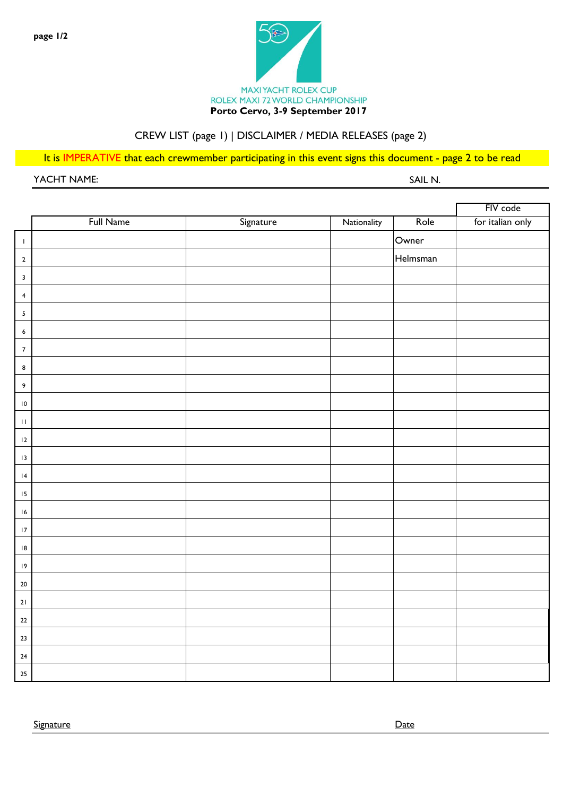

# CREW LIST (page 1) | DISCLAIMER / MEDIA RELEASES (page 2)

It is IMPERATIVE that each crewmember participating in this event signs this document - page 2 to be read

YACHT NAME: SAIL N.

|                            |           |           |             |          | FIV code         |
|----------------------------|-----------|-----------|-------------|----------|------------------|
|                            | Full Name | Signature | Nationality | Role     | for italian only |
| $\mathsf I$                |           |           |             | Owner    |                  |
| $\mathbf 2$                |           |           |             | Helmsman |                  |
| $\mathbf{3}$               |           |           |             |          |                  |
| $\overline{\mathbf{4}}$    |           |           |             |          |                  |
| $\overline{\mathbf{5}}$    |           |           |             |          |                  |
| $\boldsymbol{6}$           |           |           |             |          |                  |
| $\boldsymbol{7}$           |           |           |             |          |                  |
| $\bf 8$                    |           |           |             |          |                  |
| 9                          |           |           |             |          |                  |
| $\,$ l $\,$                |           |           |             |          |                  |
| $\boldsymbol{\Pi}$         |           |           |             |          |                  |
| 12                         |           |           |             |          |                  |
| $\sqrt{3}$                 |           |           |             |          |                  |
| $\ensuremath{\mathsf{I4}}$ |           |           |             |          |                  |
| $\sqrt{15}$                |           |           |             |          |                  |
| $\sqrt{6}$                 |           |           |             |          |                  |
| $\sqrt{7}$                 |           |           |             |          |                  |
| 8                          |           |           |             |          |                  |
| $\overline{19}$            |           |           |             |          |                  |
| $20\,$                     |           |           |             |          |                  |
| $21$                       |           |           |             |          |                  |
| 22                         |           |           |             |          |                  |
| $23\,$                     |           |           |             |          |                  |
| $24\,$                     |           |           |             |          |                  |
| $25\,$                     |           |           |             |          |                  |